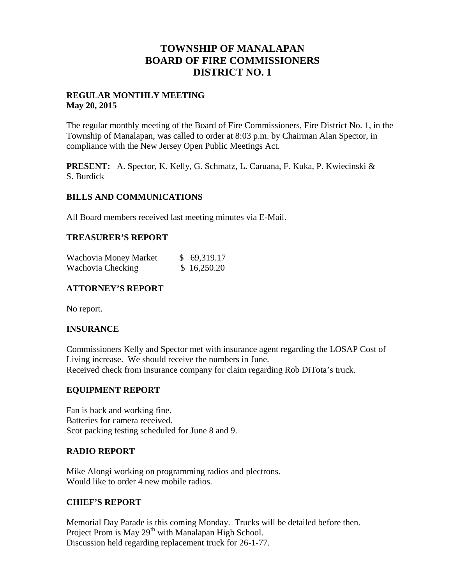## **TOWNSHIP OF MANALAPAN BOARD OF FIRE COMMISSIONERS DISTRICT NO. 1**

#### **REGULAR MONTHLY MEETING May 20, 2015**

The regular monthly meeting of the Board of Fire Commissioners, Fire District No. 1, in the Township of Manalapan, was called to order at 8:03 p.m. by Chairman Alan Spector, in compliance with the New Jersey Open Public Meetings Act.

**PRESENT:** A. Spector, K. Kelly, G. Schmatz, L. Caruana, F. Kuka, P. Kwiecinski & S. Burdick

#### **BILLS AND COMMUNICATIONS**

All Board members received last meeting minutes via E-Mail.

#### **TREASURER'S REPORT**

| Wachovia Money Market | \$69,319.17 |
|-----------------------|-------------|
| Wachovia Checking     | \$16,250.20 |

## **ATTORNEY'S REPORT**

No report.

#### **INSURANCE**

Commissioners Kelly and Spector met with insurance agent regarding the LOSAP Cost of Living increase. We should receive the numbers in June. Received check from insurance company for claim regarding Rob DiTota's truck.

#### **EQUIPMENT REPORT**

Fan is back and working fine. Batteries for camera received. Scot packing testing scheduled for June 8 and 9.

#### **RADIO REPORT**

Mike Alongi working on programming radios and plectrons. Would like to order 4 new mobile radios.

#### **CHIEF'S REPORT**

Memorial Day Parade is this coming Monday. Trucks will be detailed before then. Project Prom is May  $29<sup>th</sup>$  with Manalapan High School. Discussion held regarding replacement truck for 26-1-77.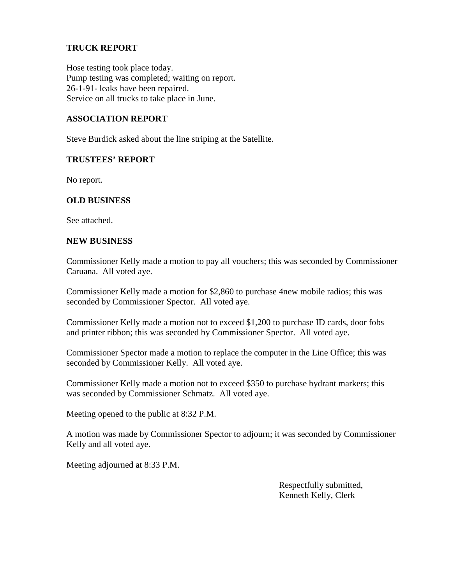## **TRUCK REPORT**

Hose testing took place today. Pump testing was completed; waiting on report. 26-1-91- leaks have been repaired. Service on all trucks to take place in June.

#### **ASSOCIATION REPORT**

Steve Burdick asked about the line striping at the Satellite.

#### **TRUSTEES' REPORT**

No report.

#### **OLD BUSINESS**

See attached.

#### **NEW BUSINESS**

Commissioner Kelly made a motion to pay all vouchers; this was seconded by Commissioner Caruana. All voted aye.

Commissioner Kelly made a motion for \$2,860 to purchase 4new mobile radios; this was seconded by Commissioner Spector. All voted aye.

Commissioner Kelly made a motion not to exceed \$1,200 to purchase ID cards, door fobs and printer ribbon; this was seconded by Commissioner Spector. All voted aye.

Commissioner Spector made a motion to replace the computer in the Line Office; this was seconded by Commissioner Kelly. All voted aye.

Commissioner Kelly made a motion not to exceed \$350 to purchase hydrant markers; this was seconded by Commissioner Schmatz. All voted aye.

Meeting opened to the public at 8:32 P.M.

A motion was made by Commissioner Spector to adjourn; it was seconded by Commissioner Kelly and all voted aye.

Meeting adjourned at 8:33 P.M.

Respectfully submitted, Kenneth Kelly, Clerk